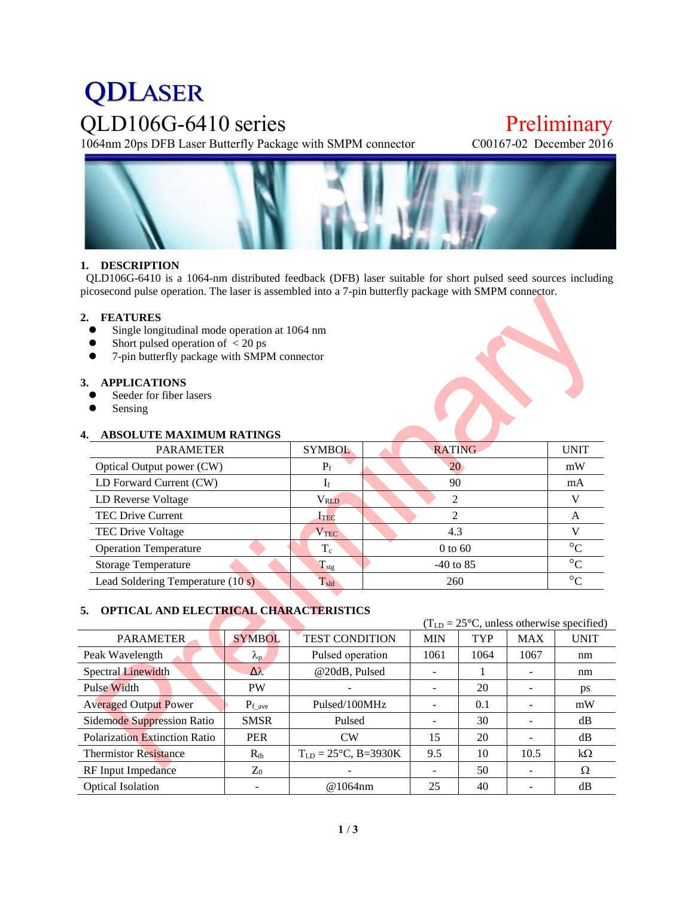# **QDLASER** QLD106G-6410 series<br>
1064nm 20ps DFB Laser Butterfly Package with SMPM connector<br>
C00167-02 December 2016

1064nm 20ps DFB Laser Butterfly Package with SMPM connector



# **1. DESCRIPTION**

QLD106G-6410 is a 1064-nm distributed feedback (DFB) laser suitable for short pulsed seed sources including picosecond pulse operation. The laser is assembled into a 7-pin butterfly package with SMPM connector.

## **2. FEATURES**

- Single longitudinal mode operation at 1064 nm
- Short pulsed operation of  $\langle 20 \text{ ps} \rangle$ <br>• 7-nin butterfly package with SMP
- 7-pin butterfly package with SMPM connector

#### **3. APPLICATIONS**

- Seeder for fiber lasers
- Sensing

# **4. ABSOLUTE MAXIMUM RATINGS**

| <b>PARAMETER</b>                  | <b>SYMBOL</b>          | <b>RATING</b> | <b>UNIT</b> |
|-----------------------------------|------------------------|---------------|-------------|
| Optical Output power (CW)         | $P_f$                  | 20            | mW          |
| LD Forward Current (CW)           | 1 <sub>f</sub>         | 90            | mA          |
| LD Reverse Voltage                | <b>V<sub>RLD</sub></b> | ∍             |             |
| <b>TEC Drive Current</b>          | $I_{\rm TEC}$          |               | A           |
| TEC Drive Voltage                 | $\rm V_{TEC}$          | 4.3           |             |
| <b>Operation Temperature</b>      | $T_c$                  | $0$ to 60     | $\circ$     |
| <b>Storage Temperature</b>        | $T_{\rm stg}$          | $-40$ to 85   | $\circ$     |
| Lead Soldering Temperature (10 s) | $T_{\text{sld}}$       | 260           | $\circ$     |

# **5. OPTICAL AND ELECTRICAL CHARACTERISTICS**

|                               |                   | $(TLD = 25oC$ , unless otherwise specified) |      |            |            |             |
|-------------------------------|-------------------|---------------------------------------------|------|------------|------------|-------------|
| <b>PARAMETER</b>              | <b>SYMBOL</b>     | <b>TEST CONDITION</b><br><b>MIN</b>         |      | <b>TYP</b> | <b>MAX</b> | <b>UNIT</b> |
| Peak Wavelength               | $\lambda_{\rm p}$ | Pulsed operation                            | 1061 | 1064       | 1067       | nm          |
| <b>Spectral Linewidth</b>     | $\Delta\lambda$   | @20dB, Pulsed                               |      |            |            | nm          |
| Pulse Width                   | <b>PW</b>         |                                             |      | 20         |            | ps          |
| <b>Averaged Output Power</b>  | $P_{f\_{ave}}$    | Pulsed/100MHz                               |      | 0.1        |            | mW          |
| Sidemode Suppression Ratio    | <b>SMSR</b>       | Pulsed                                      | -    | 30         |            | dB          |
| Polarization Extinction Ratio | <b>PER</b>        | CW                                          | 15   | 20         |            | dB          |
| <b>Thermistor Resistance</b>  | $R_{th}$          | $T_{LD} = 25^{\circ}C, B = 3930K$           | 9.5  | 10         | 10.5       | $k\Omega$   |
| RF Input Impedance            | $Z_0$             |                                             |      | 50         |            | Ω           |
| <b>Optical Isolation</b>      |                   | @1064nm                                     | 25   | 40         |            | dB          |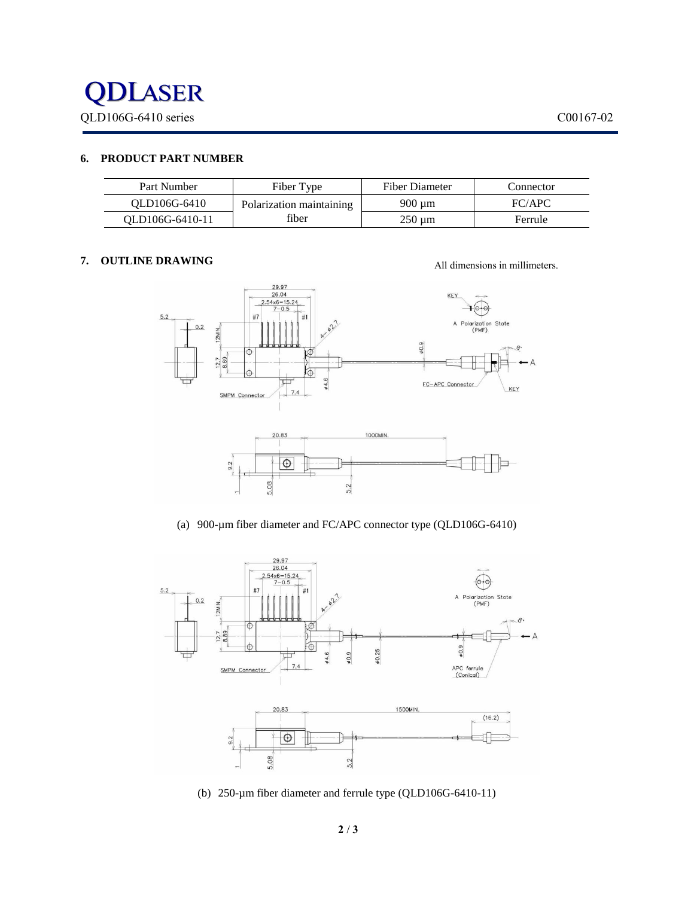

# **6. PRODUCT PART NUMBER**

| Part Number     | Fiber Type               | Fiber Diameter | Connector |
|-----------------|--------------------------|----------------|-----------|
| OLD106G-6410    | Polarization maintaining | 900 um         | FC/APC    |
| OLD106G-6410-11 | fiber                    | $250 \mu m$    | Ferrule   |

## **7. OUTLINE DRAWING**

All dimensions in millimeters.



(a) 900-µm fiber diameter and FC/APC connector type (QLD106G-6410)



(b) 250-µm fiber diameter and ferrule type (QLD106G-6410-11)